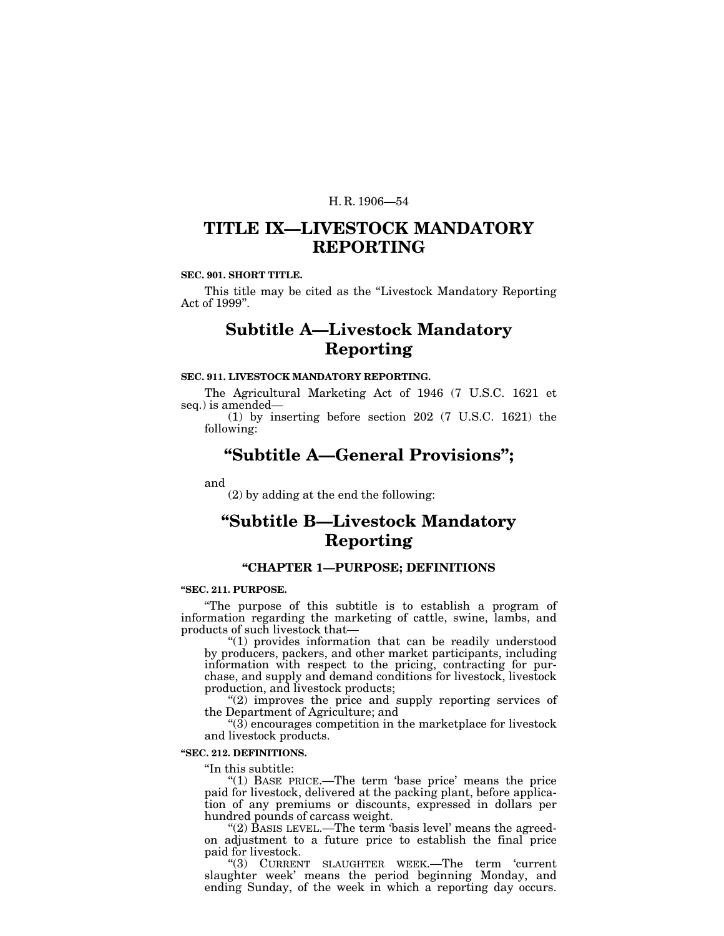# **TITLE IX—LIVESTOCK MANDATORY REPORTING**

### **SEC. 901. SHORT TITLE.**

This title may be cited as the "Livestock Mandatory Reporting" Act of 1999''.

# **Subtitle A—Livestock Mandatory Reporting**

## **SEC. 911. LIVESTOCK MANDATORY REPORTING.**

The Agricultural Marketing Act of 1946 (7 U.S.C. 1621 et seq.) is amended—

(1) by inserting before section 202 (7 U.S.C. 1621) the following:

# **''Subtitle A—General Provisions'';**

and

(2) by adding at the end the following:

# **''Subtitle B—Livestock Mandatory Reporting**

## **''CHAPTER 1—PURPOSE; DEFINITIONS**

#### **''SEC. 211. PURPOSE.**

''The purpose of this subtitle is to establish a program of information regarding the marketing of cattle, swine, lambs, and products of such livestock that—

''(1) provides information that can be readily understood by producers, packers, and other market participants, including information with respect to the pricing, contracting for purchase, and supply and demand conditions for livestock, livestock production, and livestock products;

" $(2)$  improves the price and supply reporting services of the Department of Agriculture; and

 $\mathcal{L}(3)$  encourages competition in the marketplace for livestock and livestock products.

#### **''SEC. 212. DEFINITIONS.**

''In this subtitle:

"(1) BASE PRICE.—The term 'base price' means the price paid for livestock, delivered at the packing plant, before application of any premiums or discounts, expressed in dollars per hundred pounds of carcass weight.

"(2) BASIS LEVEL.—The term 'basis level' means the agreedon adjustment to a future price to establish the final price paid for livestock.

''(3) CURRENT SLAUGHTER WEEK.—The term 'current slaughter week' means the period beginning Monday, and ending Sunday, of the week in which a reporting day occurs.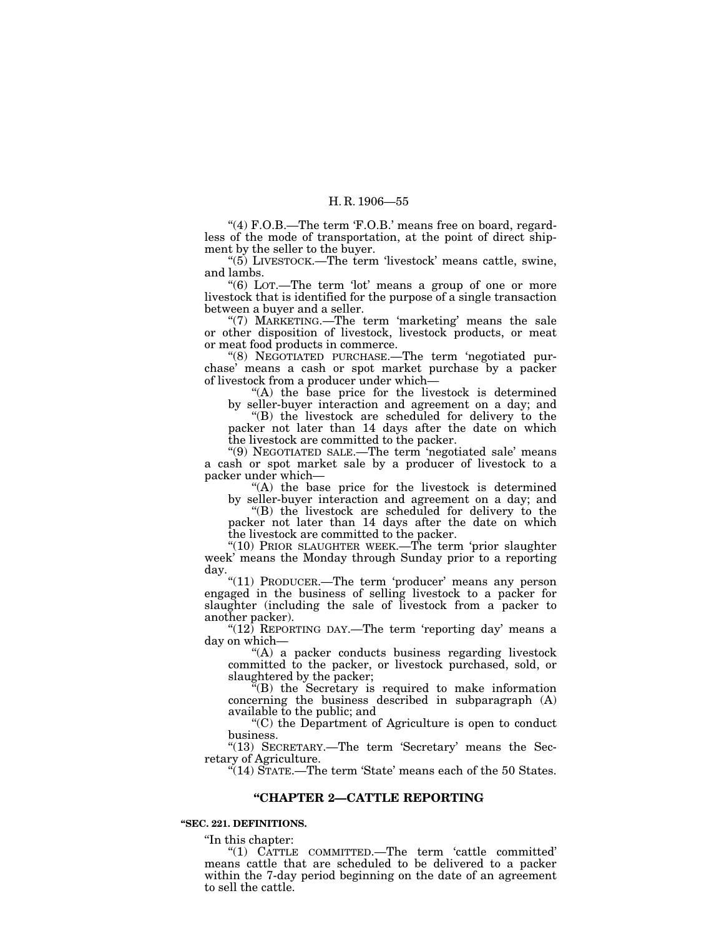"(4) F.O.B.—The term 'F.O.B.' means free on board, regardless of the mode of transportation, at the point of direct shipment by the seller to the buyer.

" $(5)$  LIVESTOCK.—The term 'livestock' means cattle, swine, and lambs.

''(6) LOT.—The term 'lot' means a group of one or more livestock that is identified for the purpose of a single transaction between a buyer and a seller.

"(7) MARKETING.—The term 'marketing' means the sale or other disposition of livestock, livestock products, or meat or meat food products in commerce.

''(8) NEGOTIATED PURCHASE.—The term 'negotiated purchase' means a cash or spot market purchase by a packer of livestock from a producer under which—

''(A) the base price for the livestock is determined by seller-buyer interaction and agreement on a day; and

''(B) the livestock are scheduled for delivery to the packer not later than 14 days after the date on which the livestock are committed to the packer.

''(9) NEGOTIATED SALE.—The term 'negotiated sale' means a cash or spot market sale by a producer of livestock to a packer under which—

"(A) the base price for the livestock is determined by seller-buyer interaction and agreement on a day; and

''(B) the livestock are scheduled for delivery to the packer not later than 14 days after the date on which the livestock are committed to the packer.

"(10) PRIOR SLAUGHTER WEEK.—The term 'prior slaughter week' means the Monday through Sunday prior to a reporting day.

"(11) PRODUCER.-The term 'producer' means any person engaged in the business of selling livestock to a packer for slaughter (including the sale of livestock from a packer to another packer).

" $(12)$  REPORTING DAY.—The term 'reporting day' means a day on which—

"(A) a packer conducts business regarding livestock committed to the packer, or livestock purchased, sold, or slaughtered by the packer;

 $\mathbb{F}(B)$  the Secretary is required to make information concerning the business described in subparagraph (A) available to the public; and

''(C) the Department of Agriculture is open to conduct business.

"(13) SECRETARY.—The term 'Secretary' means the Secretary of Agriculture.

"(14) STATE.—The term 'State' means each of the 50 States.

## **''CHAPTER 2—CATTLE REPORTING**

### **''SEC. 221. DEFINITIONS.**

''In this chapter:

''(1) CATTLE COMMITTED.—The term 'cattle committed' means cattle that are scheduled to be delivered to a packer within the 7-day period beginning on the date of an agreement to sell the cattle.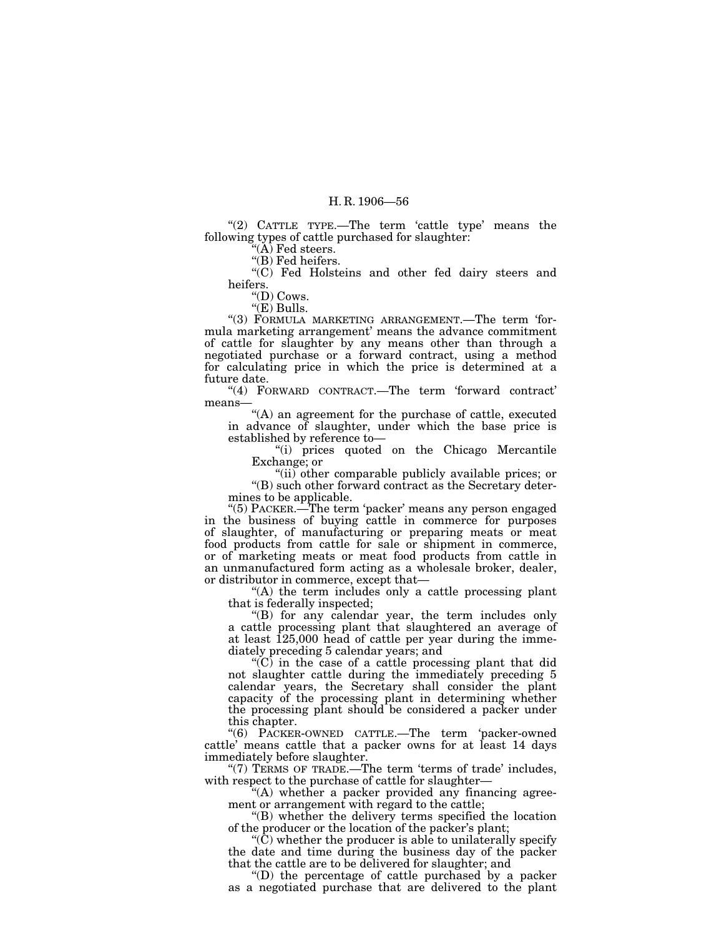" $(2)$  CATTLE TYPE.—The term 'cattle type' means the following types of cattle purchased for slaughter:

''(A) Fed steers.

"(B) Fed heifers.

"(C) Fed Holsteins and other fed dairy steers and heifers.

" $(D)$  Cows.

"(E) Bulls.

''(3) FORMULA MARKETING ARRANGEMENT.—The term 'formula marketing arrangement' means the advance commitment of cattle for slaughter by any means other than through a negotiated purchase or a forward contract, using a method for calculating price in which the price is determined at a future date.

"(4) FORWARD CONTRACT.—The term 'forward contract' means—

"(A) an agreement for the purchase of cattle, executed in advance of slaughter, under which the base price is established by reference to—

''(i) prices quoted on the Chicago Mercantile Exchange; or

''(ii) other comparable publicly available prices; or ''(B) such other forward contract as the Secretary determines to be applicable.

''(5) PACKER.—The term 'packer' means any person engaged in the business of buying cattle in commerce for purposes of slaughter, of manufacturing or preparing meats or meat food products from cattle for sale or shipment in commerce, or of marketing meats or meat food products from cattle in an unmanufactured form acting as a wholesale broker, dealer, or distributor in commerce, except that—

"(A) the term includes only a cattle processing plant that is federally inspected;

''(B) for any calendar year, the term includes only a cattle processing plant that slaughtered an average of at least 125,000 head of cattle per year during the immediately preceding 5 calendar years; and

 $\langle C \rangle$  in the case of a cattle processing plant that did not slaughter cattle during the immediately preceding 5 calendar years, the Secretary shall consider the plant capacity of the processing plant in determining whether the processing plant should be considered a packer under this chapter.

''(6) PACKER-OWNED CATTLE.—The term 'packer-owned cattle' means cattle that a packer owns for at least 14 days immediately before slaughter.

"(7) TERMS OF TRADE.—The term 'terms of trade' includes, with respect to the purchase of cattle for slaughter—

''(A) whether a packer provided any financing agreement or arrangement with regard to the cattle;

''(B) whether the delivery terms specified the location of the producer or the location of the packer's plant;

 $\mathcal{C}(\tilde{C})$  whether the producer is able to unilaterally specify the date and time during the business day of the packer that the cattle are to be delivered for slaughter; and

 $'(D)$  the percentage of cattle purchased by a packer as a negotiated purchase that are delivered to the plant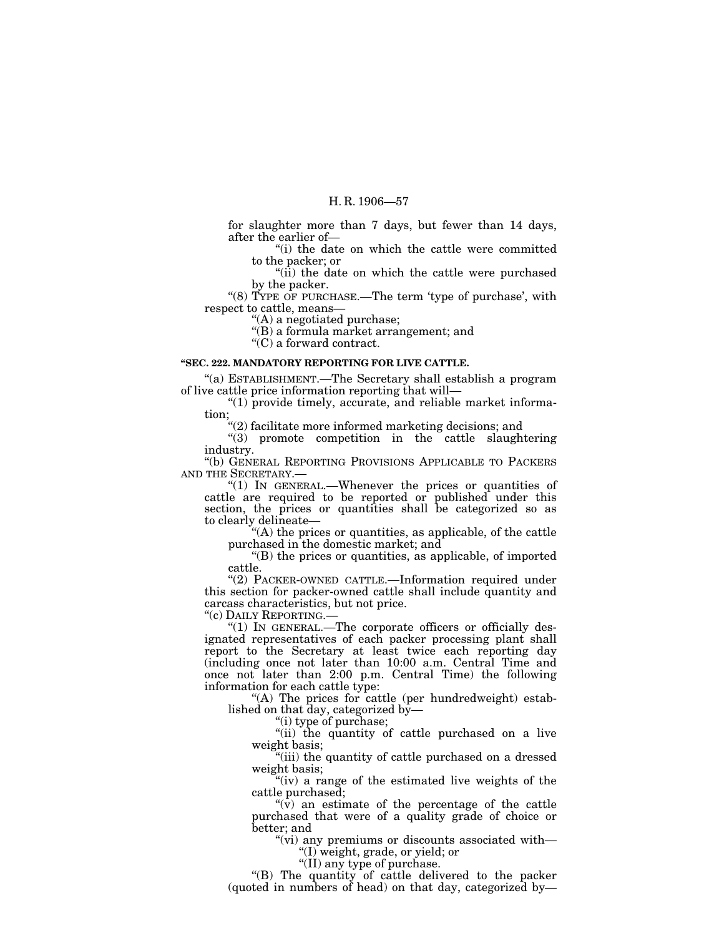for slaughter more than 7 days, but fewer than 14 days, after the earlier of—

''(i) the date on which the cattle were committed to the packer; or

''(ii) the date on which the cattle were purchased by the packer.

"(8) TYPE OF PURCHASE.—The term 'type of purchase', with respect to cattle, means—

''(A) a negotiated purchase;

''(B) a formula market arrangement; and

''(C) a forward contract.

## **''SEC. 222. MANDATORY REPORTING FOR LIVE CATTLE.**

''(a) ESTABLISHMENT.—The Secretary shall establish a program of live cattle price information reporting that will—

" $(1)$  provide timely, accurate, and reliable market information;

''(2) facilitate more informed marketing decisions; and

''(3) promote competition in the cattle slaughtering industry.

''(b) GENERAL REPORTING PROVISIONS APPLICABLE TO PACKERS AND THE SECRETARY.—

" $(1)$  In GENERAL.—Whenever the prices or quantities of cattle are required to be reported or published under this section, the prices or quantities shall be categorized so as to clearly delineate—

''(A) the prices or quantities, as applicable, of the cattle purchased in the domestic market; and

''(B) the prices or quantities, as applicable, of imported cattle.

"(2) PACKER-OWNED CATTLE.-Information required under this section for packer-owned cattle shall include quantity and carcass characteristics, but not price.<br>"(c) DAILY REPORTING.—

" $(1)$  IN GENERAL.—The corporate officers or officially designated representatives of each packer processing plant shall report to the Secretary at least twice each reporting day (including once not later than 10:00 a.m. Central Time and once not later than 2:00 p.m. Central Time) the following information for each cattle type:

"(A) The prices for cattle (per hundredweight) established on that day, categorized by—

"(i) type of purchase;

"(ii) the quantity of cattle purchased on a live weight basis;

''(iii) the quantity of cattle purchased on a dressed weight basis;

''(iv) a range of the estimated live weights of the cattle purchased;

 $\sqrt[n]{v}$  an estimate of the percentage of the cattle purchased that were of a quality grade of choice or better; and

''(vi) any premiums or discounts associated with— ''(I) weight, grade, or yield; or

"(II) any type of purchase.

''(B) The quantity of cattle delivered to the packer (quoted in numbers of head) on that day, categorized by—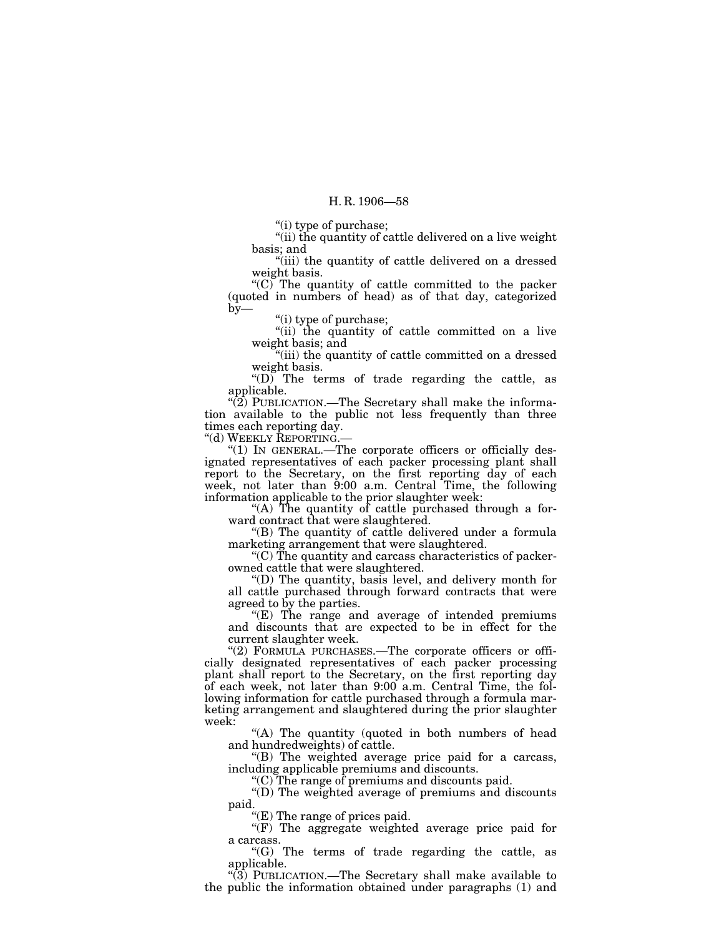"(i) type of purchase;

"(ii) the quantity of cattle delivered on a live weight basis; and

"(iii) the quantity of cattle delivered on a dressed weight basis.

" $(C)$  The quantity of cattle committed to the packer (quoted in numbers of head) as of that day, categorized by—

''(i) type of purchase;

"(ii) the quantity of cattle committed on a live weight basis; and

''(iii) the quantity of cattle committed on a dressed weight basis.

''(D) The terms of trade regarding the cattle, as applicable.

"(2) PUBLICATION.—The Secretary shall make the information available to the public not less frequently than three times each reporting day.

''(d) WEEKLY REPORTING.—

''(1) IN GENERAL.—The corporate officers or officially designated representatives of each packer processing plant shall report to the Secretary, on the first reporting day of each week, not later than 9:00 a.m. Central Time, the following information applicable to the prior slaughter week:

"(A) The quantity of cattle purchased through a forward contract that were slaughtered.

''(B) The quantity of cattle delivered under a formula marketing arrangement that were slaughtered.

''(C) The quantity and carcass characteristics of packerowned cattle that were slaughtered.

''(D) The quantity, basis level, and delivery month for all cattle purchased through forward contracts that were agreed to by the parties.

 $E$ ) The range and average of intended premiums and discounts that are expected to be in effect for the current slaughter week.

"(2) FORMULA PURCHASES.—The corporate officers or officially designated representatives of each packer processing plant shall report to the Secretary, on the first reporting day of each week, not later than 9:00 a.m. Central Time, the following information for cattle purchased through a formula marketing arrangement and slaughtered during the prior slaughter week:

"(A) The quantity (quoted in both numbers of head and hundredweights) of cattle.

''(B) The weighted average price paid for a carcass, including applicable premiums and discounts.

''(C) The range of premiums and discounts paid.

''(D) The weighted average of premiums and discounts paid.

''(E) The range of prices paid.

 $(F)$  The aggregate weighted average price paid for a carcass.

''(G) The terms of trade regarding the cattle, as applicable.

" $(3)$  PUBLICATION.—The Secretary shall make available to the public the information obtained under paragraphs (1) and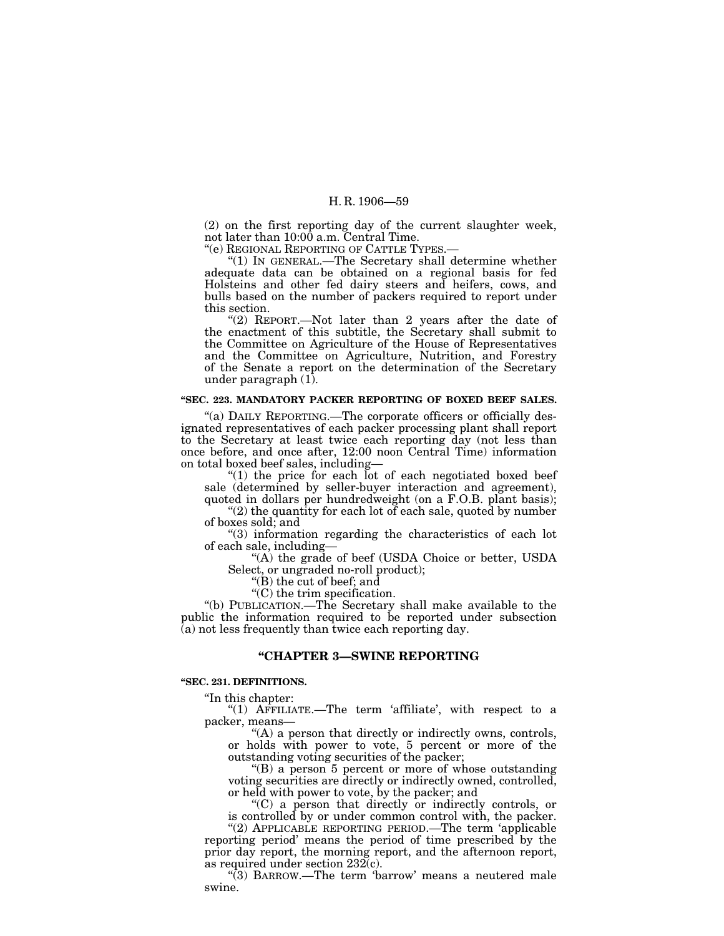(2) on the first reporting day of the current slaughter week, not later than 10:00 a.m. Central Time.

''(e) REGIONAL REPORTING OF CATTLE TYPES.—

''(1) IN GENERAL.—The Secretary shall determine whether adequate data can be obtained on a regional basis for fed Holsteins and other fed dairy steers and heifers, cows, and bulls based on the number of packers required to report under this section.

"(2) REPORT.—Not later than 2 years after the date of the enactment of this subtitle, the Secretary shall submit to the Committee on Agriculture of the House of Representatives and the Committee on Agriculture, Nutrition, and Forestry of the Senate a report on the determination of the Secretary under paragraph (1).

## **''SEC. 223. MANDATORY PACKER REPORTING OF BOXED BEEF SALES.**

''(a) DAILY REPORTING.—The corporate officers or officially designated representatives of each packer processing plant shall report to the Secretary at least twice each reporting day (not less than once before, and once after, 12:00 noon Central Time) information on total boxed beef sales, including—

" $(1)$  the price for each lot of each negotiated boxed beef sale (determined by seller-buyer interaction and agreement), quoted in dollars per hundredweight (on a F.O.B. plant basis);

" $(2)$  the quantity for each lot of each sale, quoted by number of boxes sold; and

''(3) information regarding the characteristics of each lot of each sale, including—

''(A) the grade of beef (USDA Choice or better, USDA Select, or ungraded no-roll product);

''(B) the cut of beef; and

 $\mathcal{C}(C)$  the trim specification.

''(b) PUBLICATION.—The Secretary shall make available to the public the information required to be reported under subsection (a) not less frequently than twice each reporting day.

## **''CHAPTER 3—SWINE REPORTING**

#### **''SEC. 231. DEFINITIONS.**

''In this chapter:

"(1) AFFILIATE.—The term 'affiliate', with respect to a packer, means—

"(A) a person that directly or indirectly owns, controls, or holds with power to vote, 5 percent or more of the outstanding voting securities of the packer;

''(B) a person 5 percent or more of whose outstanding voting securities are directly or indirectly owned, controlled, or held with power to vote, by the packer; and

''(C) a person that directly or indirectly controls, or is controlled by or under common control with, the packer.

"(2) APPLICABLE REPORTING PERIOD.—The term 'applicable reporting period' means the period of time prescribed by the prior day report, the morning report, and the afternoon report, as required under section  $232(c)$ .

''(3) BARROW.—The term 'barrow' means a neutered male swine.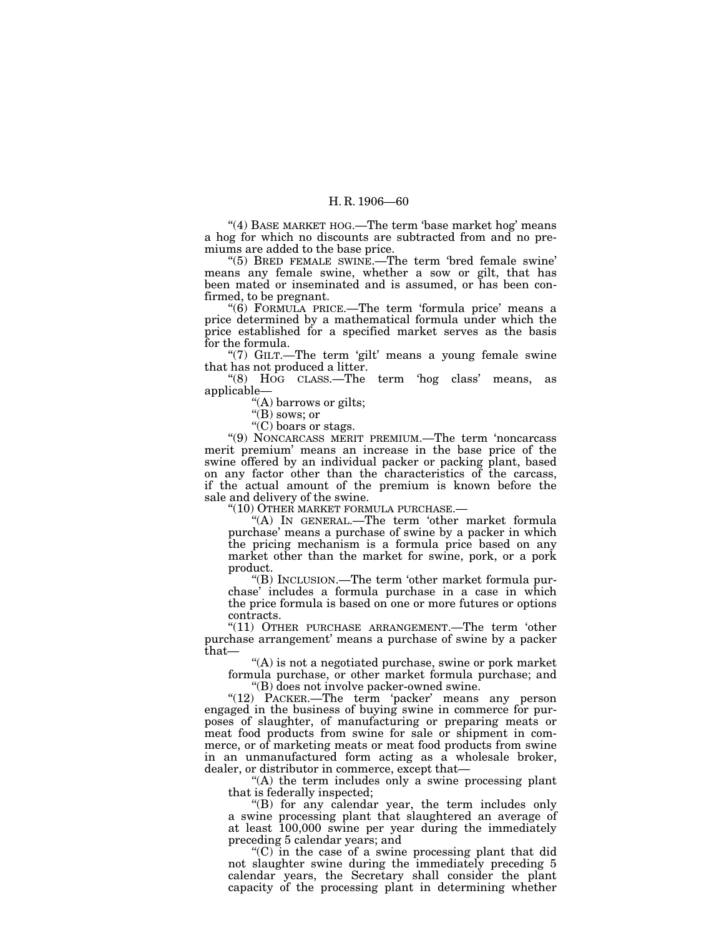"(4) BASE MARKET HOG.—The term 'base market hog' means a hog for which no discounts are subtracted from and no premiums are added to the base price.

"(5) BRED FEMALE SWINE.—The term 'bred female swine' means any female swine, whether a sow or gilt, that has been mated or inseminated and is assumed, or has been confirmed, to be pregnant.

" $(6)$  FORMULA PRICE.—The term 'formula price' means a price determined by a mathematical formula under which the price established for a specified market serves as the basis for the formula.

"(7) GILT.—The term 'gilt' means a young female swine that has not produced a litter.

''(8) HOG CLASS.—The term 'hog class' means, as applicable—

''(A) barrows or gilts;

''(B) sows; or

''(C) boars or stags.

''(9) NONCARCASS MERIT PREMIUM.—The term 'noncarcass merit premium' means an increase in the base price of the swine offered by an individual packer or packing plant, based on any factor other than the characteristics of the carcass, if the actual amount of the premium is known before the sale and delivery of the swine.

''(10) OTHER MARKET FORMULA PURCHASE.—

''(A) IN GENERAL.—The term 'other market formula purchase' means a purchase of swine by a packer in which the pricing mechanism is a formula price based on any market other than the market for swine, pork, or a pork product.

''(B) INCLUSION.—The term 'other market formula purchase' includes a formula purchase in a case in which the price formula is based on one or more futures or options contracts.

"(11) OTHER PURCHASE ARRANGEMENT.—The term 'other purchase arrangement' means a purchase of swine by a packer that—

''(A) is not a negotiated purchase, swine or pork market formula purchase, or other market formula purchase; and ''(B) does not involve packer-owned swine.

"(12) PACKER.—The term 'packer' means any person engaged in the business of buying swine in commerce for purposes of slaughter, of manufacturing or preparing meats or meat food products from swine for sale or shipment in commerce, or of marketing meats or meat food products from swine in an unmanufactured form acting as a wholesale broker, dealer, or distributor in commerce, except that—

"(A) the term includes only a swine processing plant that is federally inspected;

''(B) for any calendar year, the term includes only a swine processing plant that slaughtered an average of at least 100,000 swine per year during the immediately preceding 5 calendar years; and

''(C) in the case of a swine processing plant that did not slaughter swine during the immediately preceding 5 calendar years, the Secretary shall consider the plant capacity of the processing plant in determining whether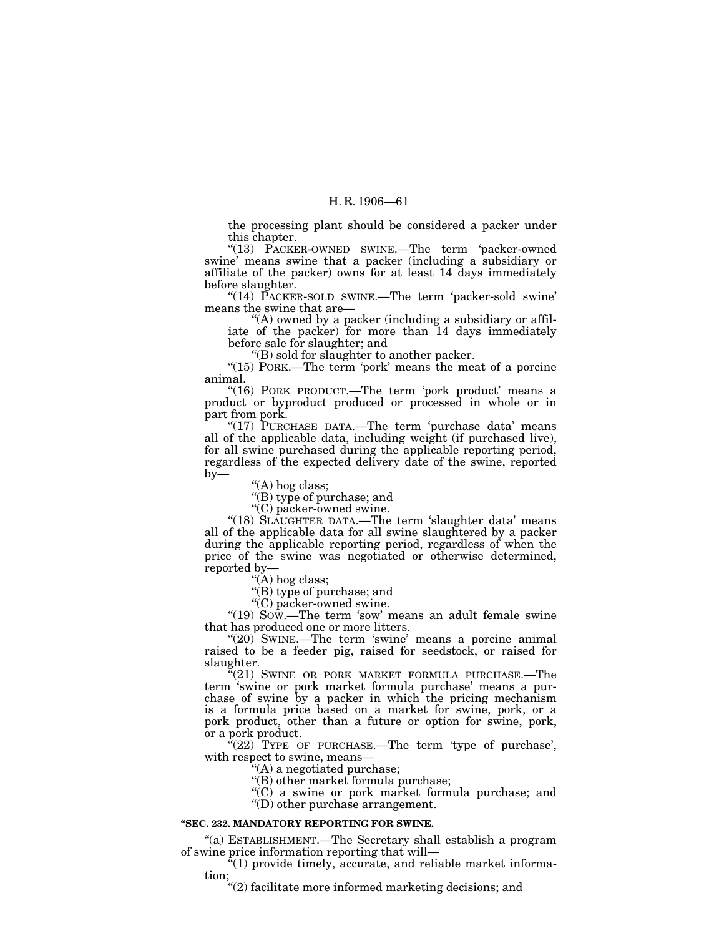the processing plant should be considered a packer under this chapter.

"(13) PACKER-OWNED SWINE.—The term 'packer-owned swine' means swine that a packer (including a subsidiary or affiliate of the packer) owns for at least 14 days immediately before slaughter.

"(14) PACKER-SOLD SWINE.—The term 'packer-sold swine' means the swine that are—

''(A) owned by a packer (including a subsidiary or affiliate of the packer) for more than 14 days immediately before sale for slaughter; and

''(B) sold for slaughter to another packer.

" $(15)$  PORK.—The term 'pork' means the meat of a porcine animal.

"(16) PORK PRODUCT.—The term 'pork product' means a product or byproduct produced or processed in whole or in part from pork.

"(17) PURCHASE DATA.—The term 'purchase data' means all of the applicable data, including weight (if purchased live), for all swine purchased during the applicable reporting period, regardless of the expected delivery date of the swine, reported  $by-$ 

''(A) hog class; ''(B) type of purchase; and

''(C) packer-owned swine.

"(18) SLAUGHTER DATA.—The term 'slaughter data' means all of the applicable data for all swine slaughtered by a packer during the applicable reporting period, regardless of when the price of the swine was negotiated or otherwise determined, reported by—

''(A) hog class;

''(B) type of purchase; and

''(C) packer-owned swine.

"(19) Sow.—The term 'sow' means an adult female swine that has produced one or more litters.

" $(20)$  SWINE.—The term 'swine' means a porcine animal raised to be a feeder pig, raised for seedstock, or raised for slaughter.

 $\mathcal{H}(21)$  SWINE OR PORK MARKET FORMULA PURCHASE.—The term 'swine or pork market formula purchase' means a purchase of swine by a packer in which the pricing mechanism is a formula price based on a market for swine, pork, or a pork product, other than a future or option for swine, pork, or a pork product.

 $\mathcal{F}(22)$  TYPE OF PURCHASE.—The term 'type of purchase', with respect to swine, means—

''(A) a negotiated purchase;

''(B) other market formula purchase;

''(C) a swine or pork market formula purchase; and ''(D) other purchase arrangement.

#### **''SEC. 232. MANDATORY REPORTING FOR SWINE.**

''(a) ESTABLISHMENT.—The Secretary shall establish a program of swine price information reporting that will—

 $(1)$  provide timely, accurate, and reliable market information;

''(2) facilitate more informed marketing decisions; and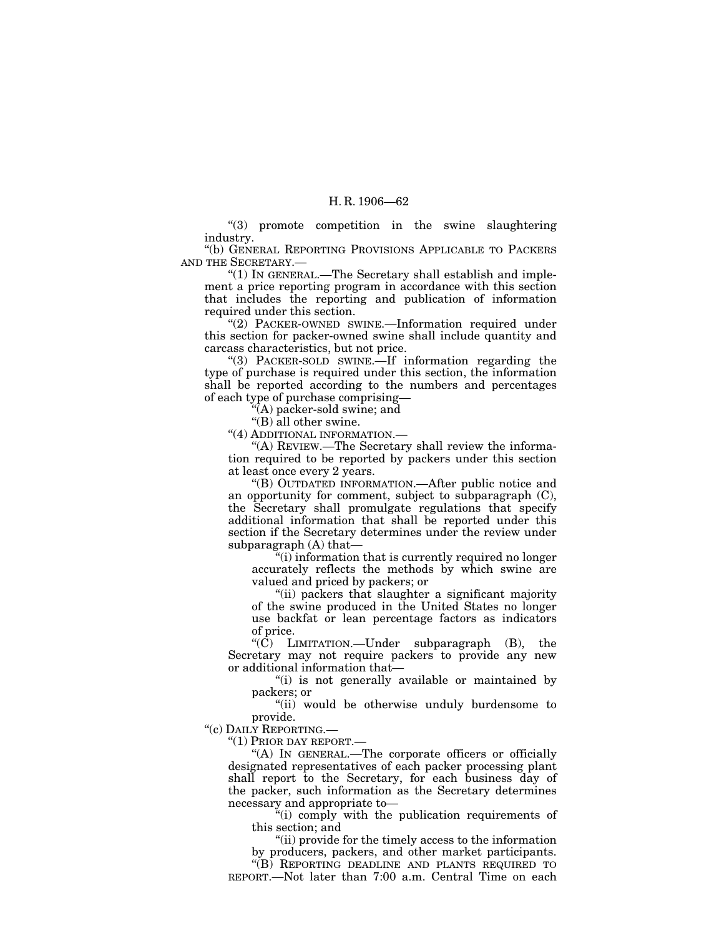''(3) promote competition in the swine slaughtering industry.

''(b) GENERAL REPORTING PROVISIONS APPLICABLE TO PACKERS AND THE SECRETARY.—

" $(1)$  In GENERAL.—The Secretary shall establish and implement a price reporting program in accordance with this section that includes the reporting and publication of information required under this section.

"(2) PACKER-OWNED SWINE.-Information required under this section for packer-owned swine shall include quantity and carcass characteristics, but not price.

''(3) PACKER-SOLD SWINE.—If information regarding the type of purchase is required under this section, the information shall be reported according to the numbers and percentages of each type of purchase comprising—

''(A) packer-sold swine; and

"(B) all other swine.

''(4) ADDITIONAL INFORMATION.—

''(A) REVIEW.—The Secretary shall review the information required to be reported by packers under this section at least once every 2 years.

''(B) OUTDATED INFORMATION.—After public notice and an opportunity for comment, subject to subparagraph (C), the Secretary shall promulgate regulations that specify additional information that shall be reported under this section if the Secretary determines under the review under subparagraph (A) that—

"(i) information that is currently required no longer accurately reflects the methods by which swine are valued and priced by packers; or

''(ii) packers that slaughter a significant majority of the swine produced in the United States no longer use backfat or lean percentage factors as indicators of price.

" $(\hat{C})$  LIMITATION.—Under subparagraph  $(B)$ , the Secretary may not require packers to provide any new or additional information that—

''(i) is not generally available or maintained by packers; or

''(ii) would be otherwise unduly burdensome to provide.

''(c) DAILY REPORTING.—

''(1) PRIOR DAY REPORT.—

''(A) IN GENERAL.—The corporate officers or officially designated representatives of each packer processing plant shall report to the Secretary, for each business day of the packer, such information as the Secretary determines necessary and appropriate to—

 $\ddot{f}$ <sup>(i)</sup> comply with the publication requirements of this section; and

''(ii) provide for the timely access to the information by producers, packers, and other market participants.

''(B) REPORTING DEADLINE AND PLANTS REQUIRED TO REPORT.—Not later than 7:00 a.m. Central Time on each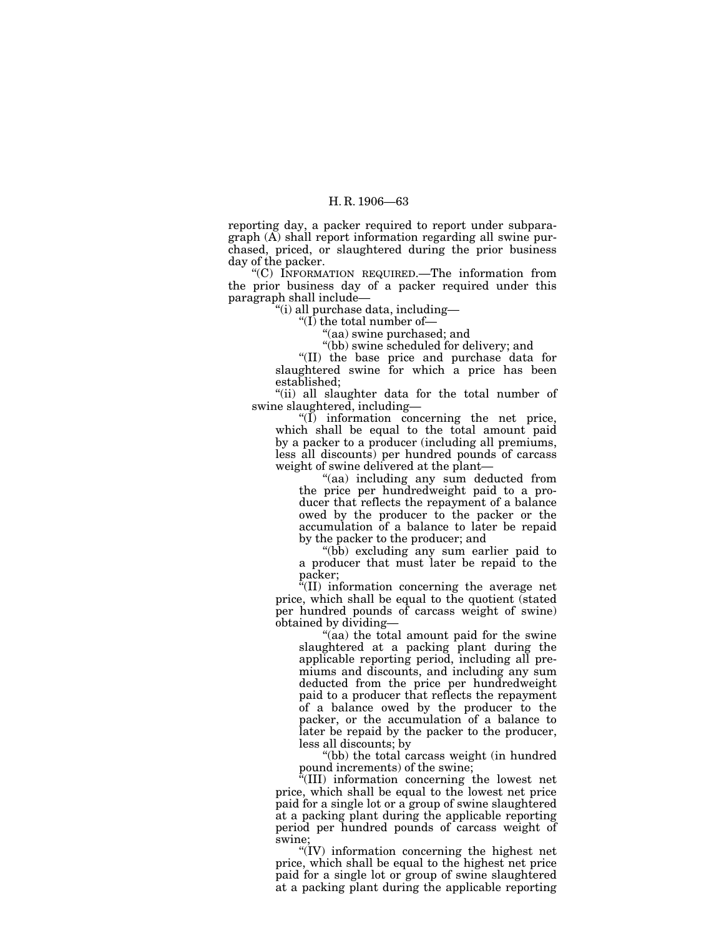reporting day, a packer required to report under subparagraph (A) shall report information regarding all swine purchased, priced, or slaughtered during the prior business day of the packer.

''(C) INFORMATION REQUIRED.—The information from the prior business day of a packer required under this paragraph shall include—

''(i) all purchase data, including—

''(I) the total number of—

''(aa) swine purchased; and

''(bb) swine scheduled for delivery; and

''(II) the base price and purchase data for slaughtered swine for which a price has been established;

"(ii) all slaughter data for the total number of swine slaughtered, including—

 $\sqrt{\text{I}}$  information concerning the net price, which shall be equal to the total amount paid by a packer to a producer (including all premiums, less all discounts) per hundred pounds of carcass weight of swine delivered at the plant—

''(aa) including any sum deducted from the price per hundredweight paid to a producer that reflects the repayment of a balance owed by the producer to the packer or the accumulation of a balance to later be repaid by the packer to the producer; and

''(bb) excluding any sum earlier paid to a producer that must later be repaid to the packer;

''(II) information concerning the average net price, which shall be equal to the quotient (stated per hundred pounds of carcass weight of swine) obtained by dividing—

"(aa) the total amount paid for the swine slaughtered at a packing plant during the applicable reporting period, including all premiums and discounts, and including any sum deducted from the price per hundredweight paid to a producer that reflects the repayment of a balance owed by the producer to the packer, or the accumulation of a balance to later be repaid by the packer to the producer, less all discounts; by

''(bb) the total carcass weight (in hundred pound increments) of the swine;

''(III) information concerning the lowest net price, which shall be equal to the lowest net price paid for a single lot or a group of swine slaughtered at a packing plant during the applicable reporting period per hundred pounds of carcass weight of swine;

''(IV) information concerning the highest net price, which shall be equal to the highest net price paid for a single lot or group of swine slaughtered at a packing plant during the applicable reporting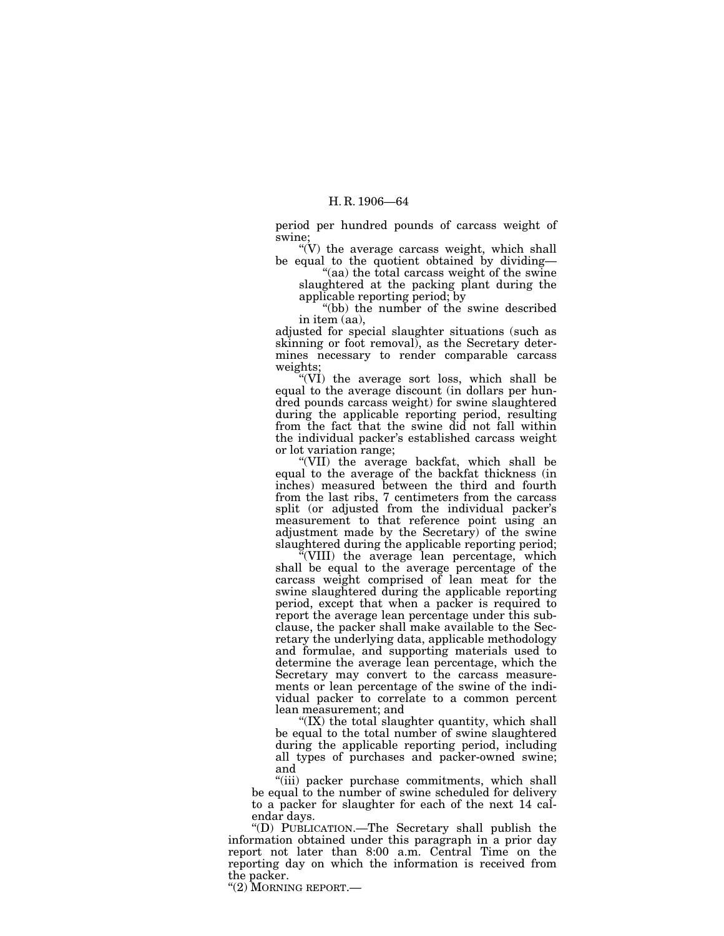period per hundred pounds of carcass weight of swine;

" $(V)$  the average carcass weight, which shall be equal to the quotient obtained by dividing—

"(aa) the total carcass weight of the swine slaughtered at the packing plant during the applicable reporting period; by

''(bb) the number of the swine described in item (aa),

adjusted for special slaughter situations (such as skinning or foot removal), as the Secretary determines necessary to render comparable carcass weights;

''(VI) the average sort loss, which shall be equal to the average discount (in dollars per hundred pounds carcass weight) for swine slaughtered during the applicable reporting period, resulting from the fact that the swine did not fall within the individual packer's established carcass weight or lot variation range;

''(VII) the average backfat, which shall be equal to the average of the backfat thickness (in inches) measured between the third and fourth from the last ribs, 7 centimeters from the carcass split (or adjusted from the individual packer's measurement to that reference point using an adjustment made by the Secretary) of the swine slaughtered during the applicable reporting period;

''(VIII) the average lean percentage, which shall be equal to the average percentage of the carcass weight comprised of lean meat for the swine slaughtered during the applicable reporting period, except that when a packer is required to report the average lean percentage under this subclause, the packer shall make available to the Secretary the underlying data, applicable methodology and formulae, and supporting materials used to determine the average lean percentage, which the Secretary may convert to the carcass measurements or lean percentage of the swine of the individual packer to correlate to a common percent lean measurement; and

"(IX) the total slaughter quantity, which shall be equal to the total number of swine slaughtered during the applicable reporting period, including all types of purchases and packer-owned swine; and

''(iii) packer purchase commitments, which shall be equal to the number of swine scheduled for delivery to a packer for slaughter for each of the next 14 calendar days.

''(D) PUBLICATION.—The Secretary shall publish the information obtained under this paragraph in a prior day report not later than 8:00 a.m. Central Time on the reporting day on which the information is received from the packer.

''(2) MORNING REPORT.—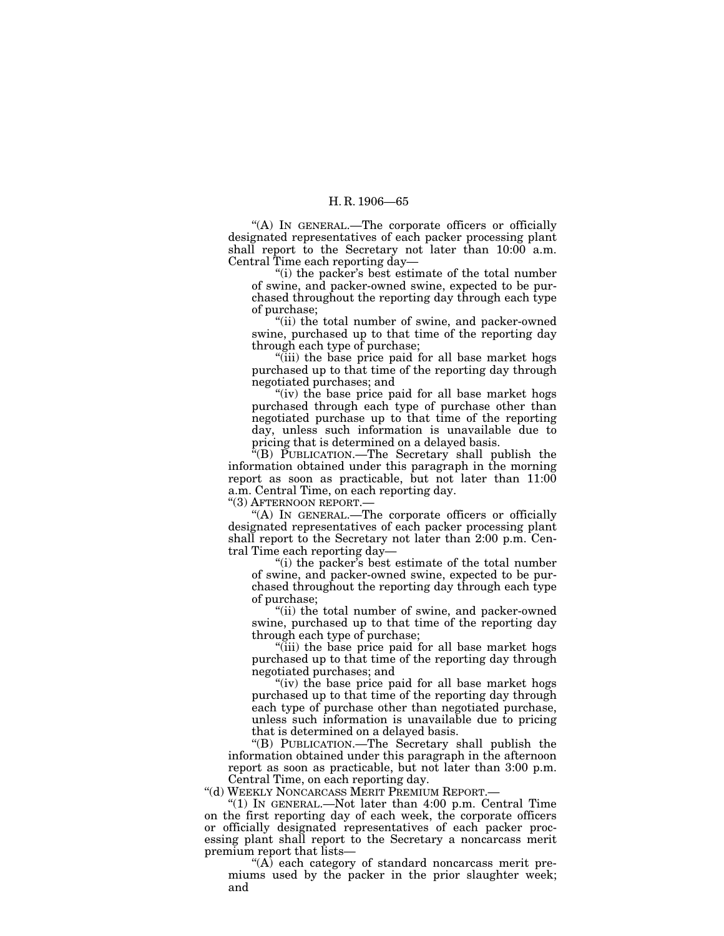''(A) IN GENERAL.—The corporate officers or officially designated representatives of each packer processing plant shall report to the Secretary not later than  $10:00^{\circ}$  a.m. Central Time each reporting day—

"(i) the packer's best estimate of the total number of swine, and packer-owned swine, expected to be purchased throughout the reporting day through each type of purchase;

''(ii) the total number of swine, and packer-owned swine, purchased up to that time of the reporting day through each type of purchase;

''(iii) the base price paid for all base market hogs purchased up to that time of the reporting day through negotiated purchases; and

"(iv) the base price paid for all base market hogs purchased through each type of purchase other than negotiated purchase up to that time of the reporting day, unless such information is unavailable due to pricing that is determined on a delayed basis.

 $E(E)$  PUBLICATION.—The Secretary shall publish the information obtained under this paragraph in the morning report as soon as practicable, but not later than  $11:00$ a.m. Central Time, on each reporting day.

''(3) AFTERNOON REPORT.—

''(A) IN GENERAL.—The corporate officers or officially designated representatives of each packer processing plant shall report to the Secretary not later than 2:00 p.m. Central Time each reporting day—

"(i) the packer's best estimate of the total number of swine, and packer-owned swine, expected to be purchased throughout the reporting day through each type of purchase;

"(ii) the total number of swine, and packer-owned swine, purchased up to that time of the reporting day through each type of purchase;

''(iii) the base price paid for all base market hogs purchased up to that time of the reporting day through negotiated purchases; and

"(iv) the base price paid for all base market hogs purchased up to that time of the reporting day through each type of purchase other than negotiated purchase, unless such information is unavailable due to pricing that is determined on a delayed basis.

''(B) PUBLICATION.—The Secretary shall publish the information obtained under this paragraph in the afternoon report as soon as practicable, but not later than 3:00 p.m. Central Time, on each reporting day.

''(d) WEEKLY NONCARCASS MERIT PREMIUM REPORT.—

"(1) IN GENERAL.—Not later than  $4:00$  p.m. Central Time on the first reporting day of each week, the corporate officers or officially designated representatives of each packer processing plant shall report to the Secretary a noncarcass merit premium report that lists—

" $(A)$  each category of standard noncarcass merit premiums used by the packer in the prior slaughter week; and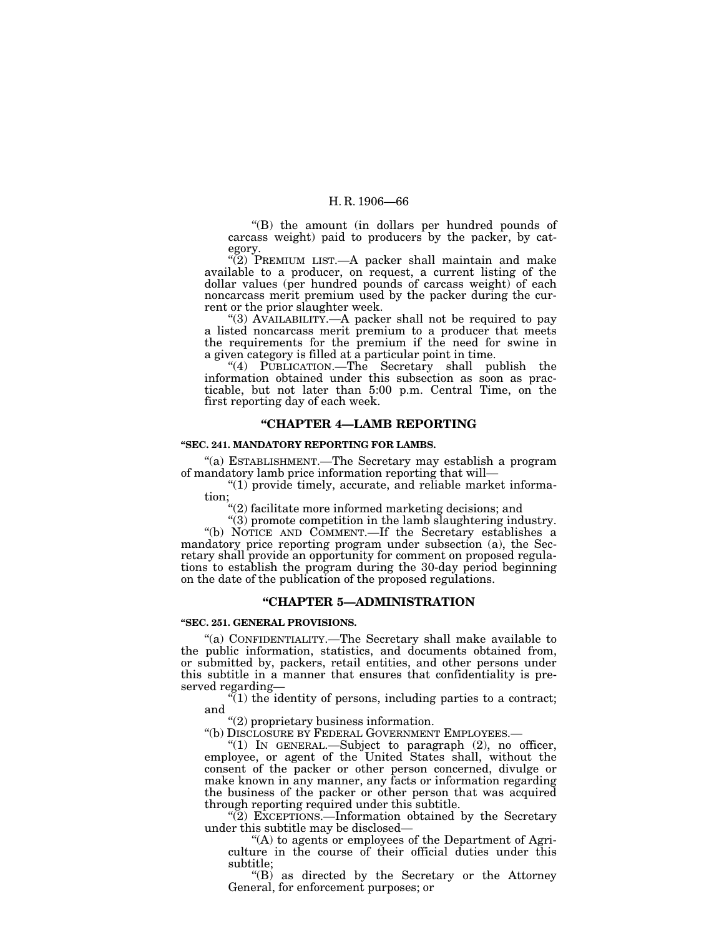''(B) the amount (in dollars per hundred pounds of carcass weight) paid to producers by the packer, by category.

 $\sqrt{\left(2\right)}$  PREMIUM LIST.—A packer shall maintain and make available to a producer, on request, a current listing of the dollar values (per hundred pounds of carcass weight) of each noncarcass merit premium used by the packer during the current or the prior slaughter week.

"(3) AVAILABILITY.—A packer shall not be required to pay a listed noncarcass merit premium to a producer that meets the requirements for the premium if the need for swine in a given category is filled at a particular point in time.

"(4) PUBLICATION.—The Secretary shall publish the information obtained under this subsection as soon as practicable, but not later than 5:00 p.m. Central Time, on the first reporting day of each week.

#### **''CHAPTER 4—LAMB REPORTING**

#### **''SEC. 241. MANDATORY REPORTING FOR LAMBS.**

''(a) ESTABLISHMENT.—The Secretary may establish a program of mandatory lamb price information reporting that will—

 $''(1)$  provide timely, accurate, and reliable market information;

''(2) facilitate more informed marketing decisions; and

''(3) promote competition in the lamb slaughtering industry. ''(b) NOTICE AND COMMENT.—If the Secretary establishes a mandatory price reporting program under subsection (a), the Secretary shall provide an opportunity for comment on proposed regulations to establish the program during the 30-day period beginning on the date of the publication of the proposed regulations.

#### **''CHAPTER 5—ADMINISTRATION**

## **''SEC. 251. GENERAL PROVISIONS.**

''(a) CONFIDENTIALITY.—The Secretary shall make available to the public information, statistics, and documents obtained from, or submitted by, packers, retail entities, and other persons under this subtitle in a manner that ensures that confidentiality is preserved regarding—

 $(1)$  the identity of persons, including parties to a contract; and

''(2) proprietary business information.

"(1) IN GENERAL  $-Subject$  to paragraph (2), no officer, employee, or agent of the United States shall, without the consent of the packer or other person concerned, divulge or make known in any manner, any facts or information regarding the business of the packer or other person that was acquired through reporting required under this subtitle.

''(2) EXCEPTIONS.—Information obtained by the Secretary under this subtitle may be disclosed—

"(A) to agents or employees of the Department of Agriculture in the course of their official duties under this subtitle;

''(B) as directed by the Secretary or the Attorney General, for enforcement purposes; or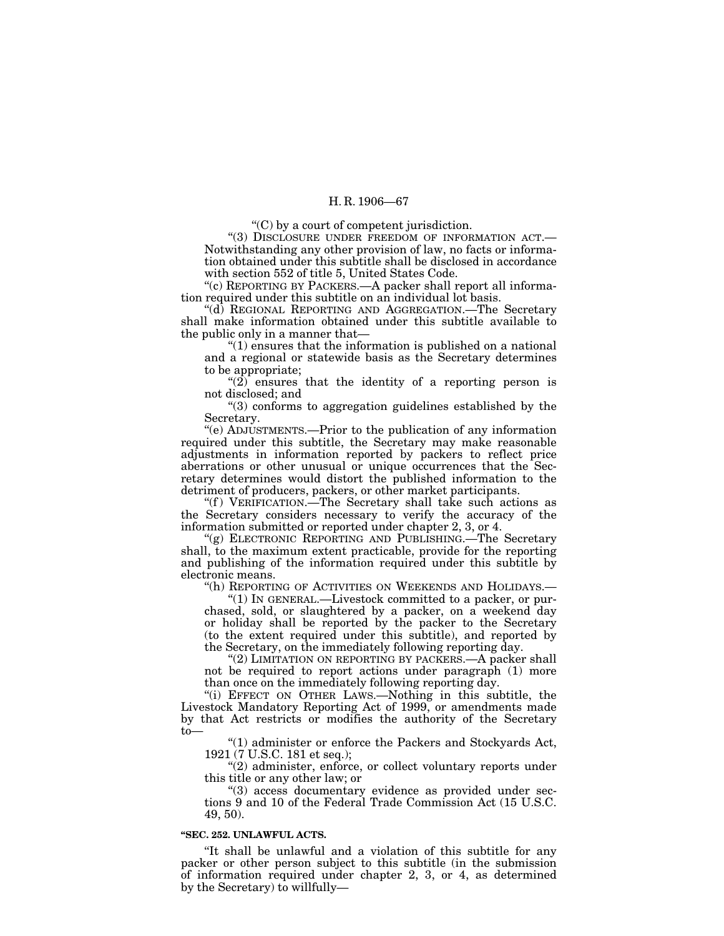''(C) by a court of competent jurisdiction.

''(3) DISCLOSURE UNDER FREEDOM OF INFORMATION ACT.— Notwithstanding any other provision of law, no facts or information obtained under this subtitle shall be disclosed in accordance with section 552 of title 5, United States Code.

"(c) REPORTING BY PACKERS.—A packer shall report all information required under this subtitle on an individual lot basis.

''(d) REGIONAL REPORTING AND AGGREGATION.—The Secretary shall make information obtained under this subtitle available to the public only in a manner that—

" $(1)$  ensures that the information is published on a national and a regional or statewide basis as the Secretary determines to be appropriate;

"(2) ensures that the identity of a reporting person is not disclosed; and

''(3) conforms to aggregation guidelines established by the Secretary.

''(e) ADJUSTMENTS.—Prior to the publication of any information required under this subtitle, the Secretary may make reasonable adjustments in information reported by packers to reflect price aberrations or other unusual or unique occurrences that the Secretary determines would distort the published information to the detriment of producers, packers, or other market participants.

''(f ) VERIFICATION.—The Secretary shall take such actions as the Secretary considers necessary to verify the accuracy of the information submitted or reported under chapter 2, 3, or 4.

''(g) ELECTRONIC REPORTING AND PUBLISHING.—The Secretary shall, to the maximum extent practicable, provide for the reporting and publishing of the information required under this subtitle by electronic means.

"(h) REPORTING OF ACTIVITIES ON WEEKENDS AND HOLIDAYS.—

 $(1)$  In GENERAL.—Livestock committed to a packer, or purchased, sold, or slaughtered by a packer, on a weekend day or holiday shall be reported by the packer to the Secretary (to the extent required under this subtitle), and reported by the Secretary, on the immediately following reporting day.

"(2) LIMITATION ON REPORTING BY PACKERS.—A packer shall not be required to report actions under paragraph (1) more than once on the immediately following reporting day.

"(i) EFFECT ON OTHER LAWS.—Nothing in this subtitle, the Livestock Mandatory Reporting Act of 1999, or amendments made by that Act restricts or modifies the authority of the Secretary to—

''(1) administer or enforce the Packers and Stockyards Act, 1921 (7 U.S.C. 181 et seq.);

 $(2)$  administer, enforce, or collect voluntary reports under this title or any other law; or

''(3) access documentary evidence as provided under sections 9 and 10 of the Federal Trade Commission Act (15 U.S.C. 49, 50).

#### **''SEC. 252. UNLAWFUL ACTS.**

''It shall be unlawful and a violation of this subtitle for any packer or other person subject to this subtitle (in the submission of information required under chapter 2, 3, or 4, as determined by the Secretary) to willfully—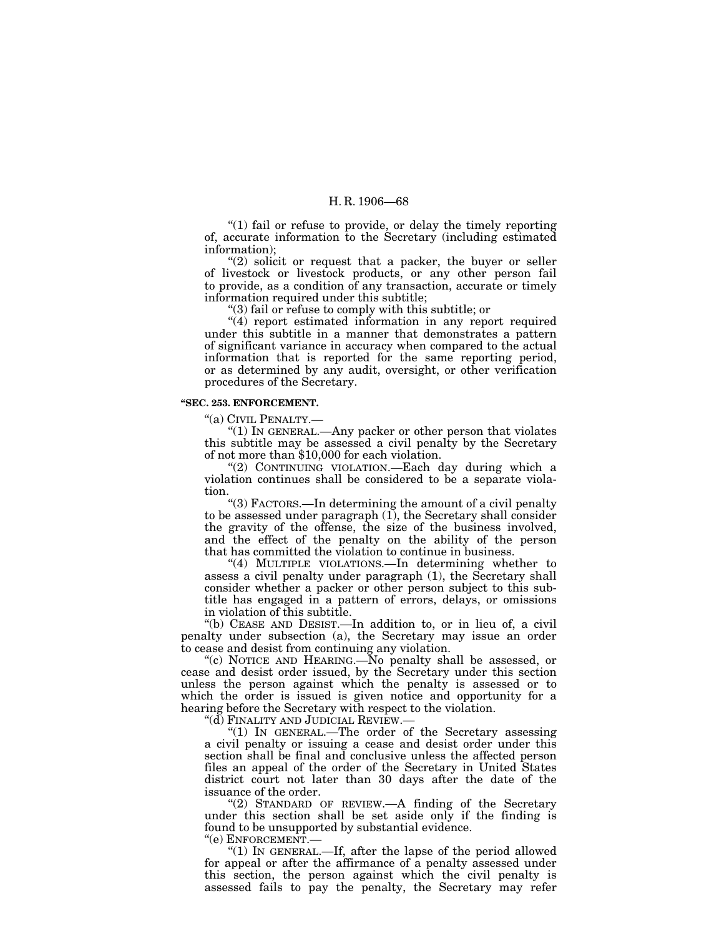"(1) fail or refuse to provide, or delay the timely reporting of, accurate information to the Secretary (including estimated information);

 $(2)$  solicit or request that a packer, the buyer or seller of livestock or livestock products, or any other person fail to provide, as a condition of any transaction, accurate or timely information required under this subtitle;

''(3) fail or refuse to comply with this subtitle; or

"(4) report estimated information in any report required under this subtitle in a manner that demonstrates a pattern of significant variance in accuracy when compared to the actual information that is reported for the same reporting period, or as determined by any audit, oversight, or other verification procedures of the Secretary.

### **''SEC. 253. ENFORCEMENT.**

''(a) CIVIL PENALTY.—

" $(1)$  In GENERAL.—Any packer or other person that violates this subtitle may be assessed a civil penalty by the Secretary of not more than \$10,000 for each violation.

''(2) CONTINUING VIOLATION.—Each day during which a violation continues shall be considered to be a separate violation.

''(3) FACTORS.—In determining the amount of a civil penalty to be assessed under paragraph  $(1)$ , the Secretary shall consider the gravity of the offense, the size of the business involved, and the effect of the penalty on the ability of the person that has committed the violation to continue in business.

"(4) MULTIPLE VIOLATIONS.—In determining whether to assess a civil penalty under paragraph (1), the Secretary shall consider whether a packer or other person subject to this subtitle has engaged in a pattern of errors, delays, or omissions in violation of this subtitle.

''(b) CEASE AND DESIST.—In addition to, or in lieu of, a civil penalty under subsection (a), the Secretary may issue an order to cease and desist from continuing any violation.

"(c) NOTICE AND HEARING.—No penalty shall be assessed, or cease and desist order issued, by the Secretary under this section unless the person against which the penalty is assessed or to which the order is issued is given notice and opportunity for a hearing before the Secretary with respect to the violation.

''(d) FINALITY AND JUDICIAL REVIEW.—

" $(1)$  IN GENERAL.—The order of the Secretary assessing a civil penalty or issuing a cease and desist order under this section shall be final and conclusive unless the affected person files an appeal of the order of the Secretary in United States district court not later than 30 days after the date of the issuance of the order.

"(2) STANDARD OF REVIEW.—A finding of the Secretary under this section shall be set aside only if the finding is found to be unsupported by substantial evidence.

''(e) ENFORCEMENT.—

''(1) IN GENERAL.—If, after the lapse of the period allowed for appeal or after the affirmance of a penalty assessed under this section, the person against which the civil penalty is assessed fails to pay the penalty, the Secretary may refer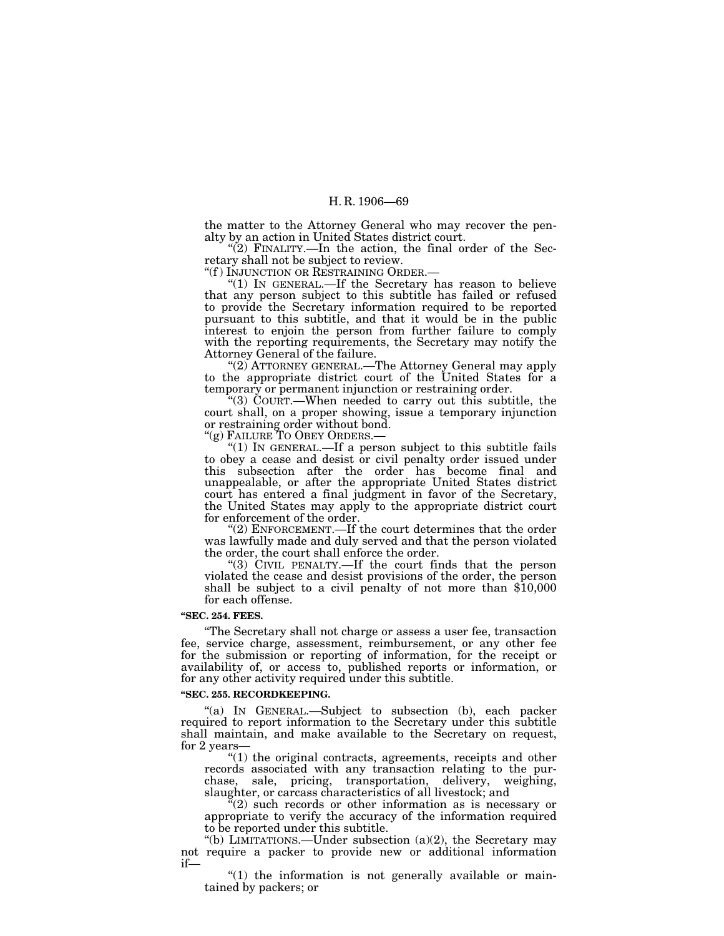the matter to the Attorney General who may recover the penalty by an action in United States district court.

" $(2)$  FINALITY.—In the action, the final order of the Secretary shall not be subject to review.

"(f) INJUNCTION OR RESTRAINING ORDER.—<br>"(1) IN GENERAL.—If the Secretary has reason to believe that any person subject to this subtitle has failed or refused to provide the Secretary information required to be reported pursuant to this subtitle, and that it would be in the public interest to enjoin the person from further failure to comply with the reporting requirements, the Secretary may notify the Attorney General of the failure.

''(2) ATTORNEY GENERAL.—The Attorney General may apply to the appropriate district court of the United States for a temporary or permanent injunction or restraining order.

''(3) COURT.—When needed to carry out this subtitle, the court shall, on a proper showing, issue a temporary injunction or restraining order without bond.<br>"(g) FAILURE TO OBEY ORDERS.—

"(1) IN GENERAL.—If a person subject to this subtitle fails to obey a cease and desist or civil penalty order issued under this subsection after the order has become final and unappealable, or after the appropriate United States district court has entered a final judgment in favor of the Secretary, the United States may apply to the appropriate district court for enforcement of the order.

"(2) ENFORCEMENT.—If the court determines that the order was lawfully made and duly served and that the person violated the order, the court shall enforce the order.

''(3) CIVIL PENALTY.—If the court finds that the person violated the cease and desist provisions of the order, the person shall be subject to a civil penalty of not more than \$10,000 for each offense.

## **''SEC. 254. FEES.**

''The Secretary shall not charge or assess a user fee, transaction fee, service charge, assessment, reimbursement, or any other fee for the submission or reporting of information, for the receipt or availability of, or access to, published reports or information, or for any other activity required under this subtitle.

#### **''SEC. 255. RECORDKEEPING.**

''(a) IN GENERAL.—Subject to subsection (b), each packer required to report information to the Secretary under this subtitle shall maintain, and make available to the Secretary on request, for 2 years—

 $''(1)$  the original contracts, agreements, receipts and other records associated with any transaction relating to the purchase, sale, pricing, transportation, delivery, weighing, slaughter, or carcass characteristics of all livestock; and

 $\mathcal{E}(2)$  such records or other information as is necessary or appropriate to verify the accuracy of the information required to be reported under this subtitle.

"(b) LIMITATIONS.—Under subsection  $(a)(2)$ , the Secretary may not require a packer to provide new or additional information if—

" $(1)$  the information is not generally available or maintained by packers; or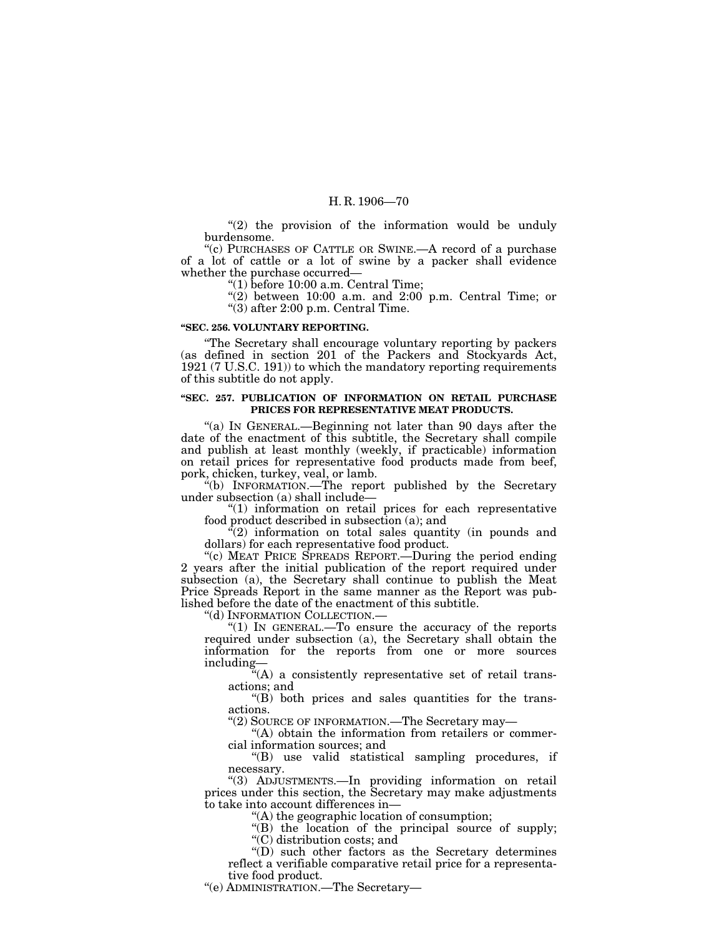"(2) the provision of the information would be unduly burdensome.

''(c) PURCHASES OF CATTLE OR SWINE.—A record of a purchase of a lot of cattle or a lot of swine by a packer shall evidence whether the purchase occurred—

''(1) before 10:00 a.m. Central Time;

 $''(2)$  between 10:00 a.m. and 2:00 p.m. Central Time; or ''(3) after 2:00 p.m. Central Time.

### **''SEC. 256. VOLUNTARY REPORTING.**

''The Secretary shall encourage voluntary reporting by packers (as defined in section 201 of the Packers and Stockyards Act, 1921 (7 U.S.C. 191)) to which the mandatory reporting requirements of this subtitle do not apply.

### **''SEC. 257. PUBLICATION OF INFORMATION ON RETAIL PURCHASE PRICES FOR REPRESENTATIVE MEAT PRODUCTS.**

"(a) IN GENERAL.—Beginning not later than 90 days after the date of the enactment of this subtitle, the Secretary shall compile and publish at least monthly (weekly, if practicable) information on retail prices for representative food products made from beef, pork, chicken, turkey, veal, or lamb.

 $*(b)$  INFORMATION.—The report published by the Secretary under subsection (a) shall include—

''(1) information on retail prices for each representative food product described in subsection (a); and

 $\mathcal{L}(2)$  information on total sales quantity (in pounds and dollars) for each representative food product.

"(c) MEAT PRICE SPREADS REPORT.—During the period ending 2 years after the initial publication of the report required under subsection (a), the Secretary shall continue to publish the Meat Price Spreads Report in the same manner as the Report was published before the date of the enactment of this subtitle.<br>"(d) INFORMATION COLLECTION.—

"(1) IN GENERAL.—To ensure the accuracy of the reports required under subsection (a), the Secretary shall obtain the information for the reports from one or more sources including—

''(A) a consistently representative set of retail transactions; and

 $\text{actions}$ ; and  $\text{``(B)}$  both prices and sales quantities for the transactions.

''(2) SOURCE OF INFORMATION.—The Secretary may—

"(A) obtain the information from retailers or commercial information sources; and

''(B) use valid statistical sampling procedures, if necessary.

''(3) ADJUSTMENTS.—In providing information on retail prices under this section, the Secretary may make adjustments to take into account differences in—

''(A) the geographic location of consumption;

''(B) the location of the principal source of supply; ''(C) distribution costs; and

''(D) such other factors as the Secretary determines reflect a verifiable comparative retail price for a representative food product.

''(e) ADMINISTRATION.—The Secretary—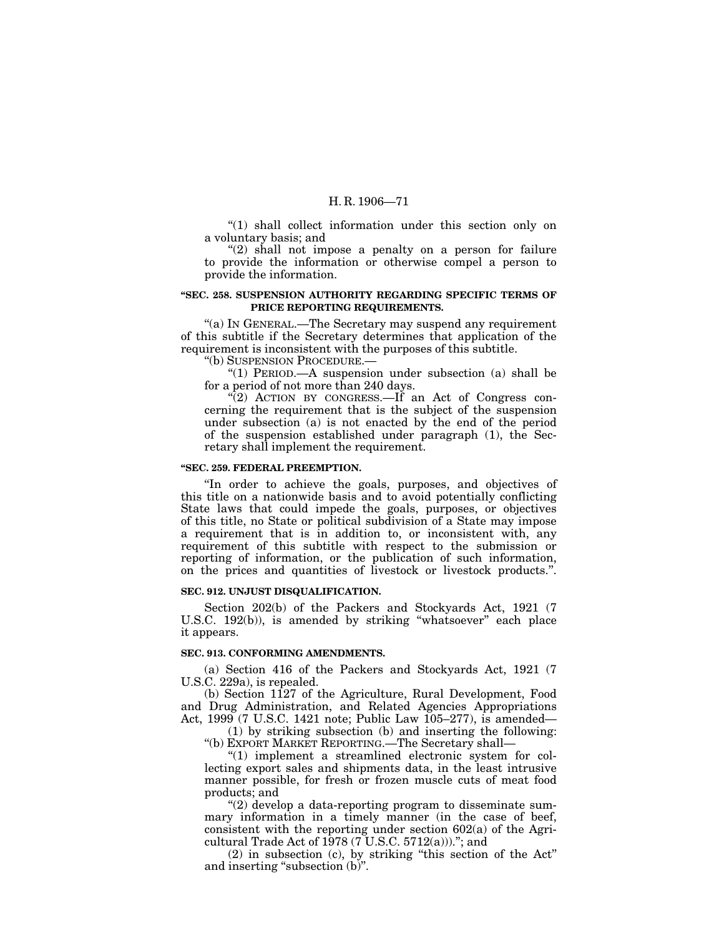''(1) shall collect information under this section only on a voluntary basis; and

"(2) shall not impose a penalty on a person for failure to provide the information or otherwise compel a person to provide the information.

## **''SEC. 258. SUSPENSION AUTHORITY REGARDING SPECIFIC TERMS OF PRICE REPORTING REQUIREMENTS.**

''(a) IN GENERAL.—The Secretary may suspend any requirement of this subtitle if the Secretary determines that application of the requirement is inconsistent with the purposes of this subtitle.

''(b) SUSPENSION PROCEDURE.—

''(1) PERIOD.—A suspension under subsection (a) shall be for a period of not more than 240 days.

 $\mathcal{L}(2)$  ACTION BY CONGRESS.—If an Act of Congress concerning the requirement that is the subject of the suspension under subsection (a) is not enacted by the end of the period of the suspension established under paragraph (1), the Secretary shall implement the requirement.

### **''SEC. 259. FEDERAL PREEMPTION.**

''In order to achieve the goals, purposes, and objectives of this title on a nationwide basis and to avoid potentially conflicting State laws that could impede the goals, purposes, or objectives of this title, no State or political subdivision of a State may impose a requirement that is in addition to, or inconsistent with, any requirement of this subtitle with respect to the submission or reporting of information, or the publication of such information, on the prices and quantities of livestock or livestock products.''.

#### **SEC. 912. UNJUST DISQUALIFICATION.**

Section 202(b) of the Packers and Stockyards Act, 1921 (7 U.S.C. 192(b)), is amended by striking "whatsoever" each place it appears.

## **SEC. 913. CONFORMING AMENDMENTS.**

(a) Section 416 of the Packers and Stockyards Act, 1921 (7 U.S.C. 229a), is repealed.

(b) Section 1127 of the Agriculture, Rural Development, Food and Drug Administration, and Related Agencies Appropriations Act, 1999 (7 U.S.C. 1421 note; Public Law 105–277), is amended—

(1) by striking subsection (b) and inserting the following: ''(b) EXPORT MARKET REPORTING.—The Secretary shall—

 $''(1)$  implement a streamlined electronic system for collecting export sales and shipments data, in the least intrusive manner possible, for fresh or frozen muscle cuts of meat food products; and

''(2) develop a data-reporting program to disseminate summary information in a timely manner (in the case of beef, consistent with the reporting under section 602(a) of the Agricultural Trade Act of  $1978 (7 \text{ U.S.C. } 5712(a))$ ."; and

(2) in subsection (c), by striking ''this section of the Act'' and inserting "subsection (b)".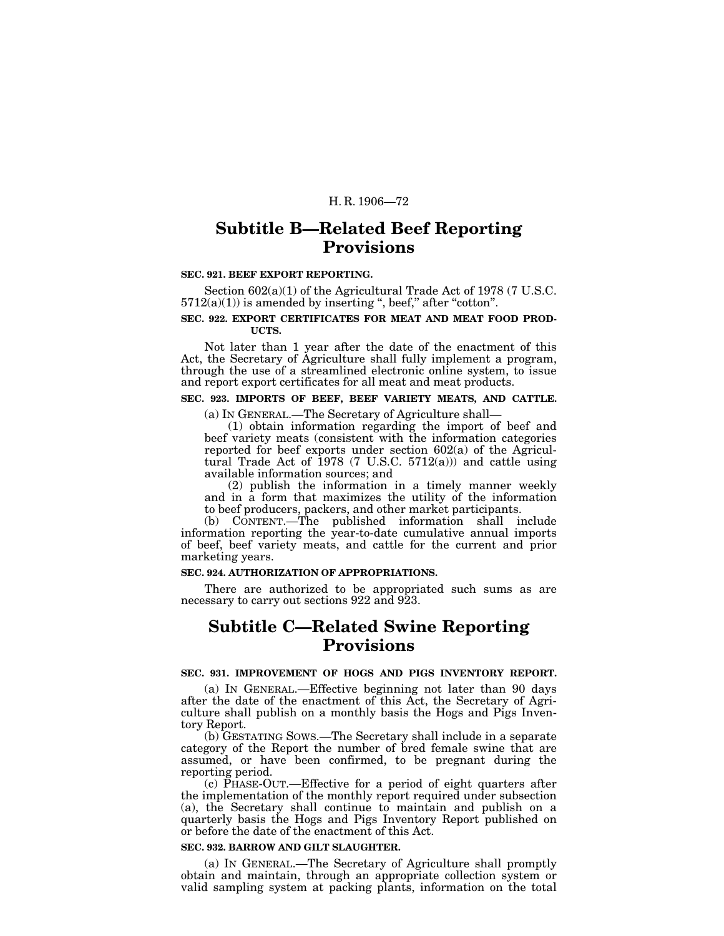# **Subtitle B—Related Beef Reporting Provisions**

#### **SEC. 921. BEEF EXPORT REPORTING.**

Section 602(a)(1) of the Agricultural Trade Act of 1978 (7 U.S.C.  $5712(a)(1)$  is amended by inserting ", beef," after "cotton".

#### **SEC. 922. EXPORT CERTIFICATES FOR MEAT AND MEAT FOOD PROD-UCTS.**

Not later than 1 year after the date of the enactment of this Act, the Secretary of Agriculture shall fully implement a program, through the use of a streamlined electronic online system, to issue and report export certificates for all meat and meat products.

## **SEC. 923. IMPORTS OF BEEF, BEEF VARIETY MEATS, AND CATTLE.**

(a) IN GENERAL.—The Secretary of Agriculture shall—

(1) obtain information regarding the import of beef and beef variety meats (consistent with the information categories reported for beef exports under section 602(a) of the Agricultural Trade Act of  $1978$  (7 U.S.C. 5712(a))) and cattle using available information sources; and

(2) publish the information in a timely manner weekly and in a form that maximizes the utility of the information to beef producers, packers, and other market participants.

(b) CONTENT.—The published information shall include information reporting the year-to-date cumulative annual imports of beef, beef variety meats, and cattle for the current and prior marketing years.

## **SEC. 924. AUTHORIZATION OF APPROPRIATIONS.**

There are authorized to be appropriated such sums as are necessary to carry out sections 922 and 923.

# **Subtitle C—Related Swine Reporting Provisions**

# **SEC. 931. IMPROVEMENT OF HOGS AND PIGS INVENTORY REPORT.**

(a) IN GENERAL.—Effective beginning not later than 90 days after the date of the enactment of this Act, the Secretary of Agriculture shall publish on a monthly basis the Hogs and Pigs Inventory Report.

(b) GESTATING SOWS.—The Secretary shall include in a separate category of the Report the number of bred female swine that are assumed, or have been confirmed, to be pregnant during the reporting period.

(c) PHASE-OUT.—Effective for a period of eight quarters after the implementation of the monthly report required under subsection (a), the Secretary shall continue to maintain and publish on a quarterly basis the Hogs and Pigs Inventory Report published on or before the date of the enactment of this Act.

#### **SEC. 932. BARROW AND GILT SLAUGHTER.**

(a) IN GENERAL.—The Secretary of Agriculture shall promptly obtain and maintain, through an appropriate collection system or valid sampling system at packing plants, information on the total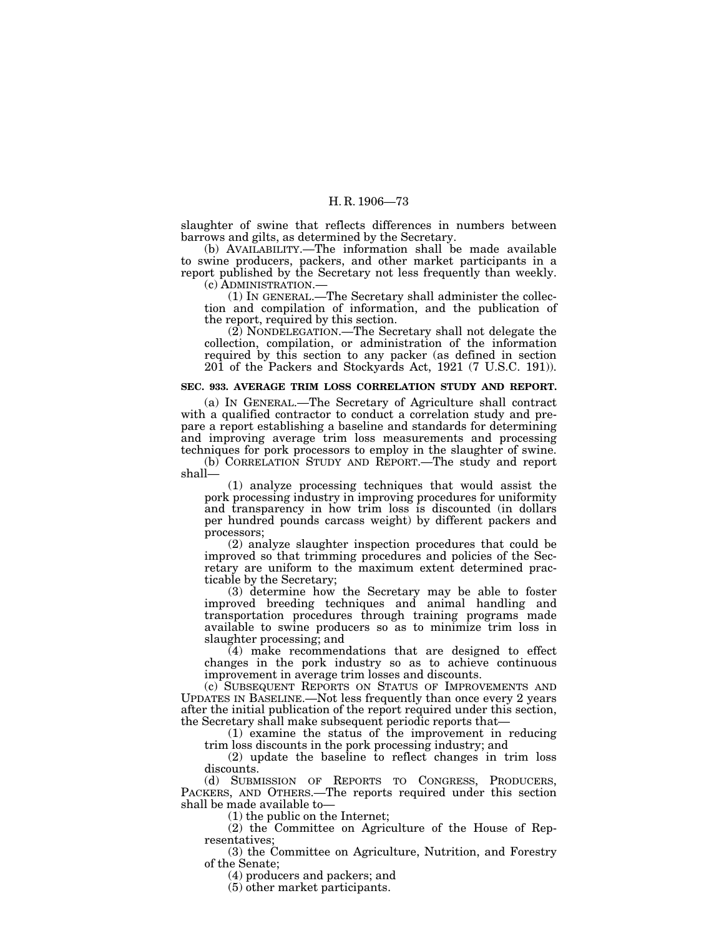slaughter of swine that reflects differences in numbers between barrows and gilts, as determined by the Secretary.

(b) AVAILABILITY.—The information shall be made available to swine producers, packers, and other market participants in a report published by the Secretary not less frequently than weekly. (c) ADMINISTRATION.—

(1) IN GENERAL.—The Secretary shall administer the collection and compilation of information, and the publication of the report, required by this section.

(2) NONDELEGATION.—The Secretary shall not delegate the collection, compilation, or administration of the information required by this section to any packer (as defined in section 201 of the Packers and Stockyards Act, 1921 (7 U.S.C. 191)).

#### **SEC. 933. AVERAGE TRIM LOSS CORRELATION STUDY AND REPORT.**

(a) IN GENERAL.—The Secretary of Agriculture shall contract with a qualified contractor to conduct a correlation study and prepare a report establishing a baseline and standards for determining and improving average trim loss measurements and processing techniques for pork processors to employ in the slaughter of swine.

(b) CORRELATION STUDY AND REPORT.—The study and report shall—

(1) analyze processing techniques that would assist the pork processing industry in improving procedures for uniformity and transparency in how trim loss is discounted (in dollars per hundred pounds carcass weight) by different packers and processors;

(2) analyze slaughter inspection procedures that could be improved so that trimming procedures and policies of the Secretary are uniform to the maximum extent determined practicable by the Secretary;

(3) determine how the Secretary may be able to foster improved breeding techniques and animal handling and transportation procedures through training programs made available to swine producers so as to minimize trim loss in slaughter processing; and

(4) make recommendations that are designed to effect changes in the pork industry so as to achieve continuous improvement in average trim losses and discounts.

(c) SUBSEQUENT REPORTS ON STATUS OF IMPROVEMENTS AND UPDATES IN BASELINE.—Not less frequently than once every 2 years after the initial publication of the report required under this section, the Secretary shall make subsequent periodic reports that—

(1) examine the status of the improvement in reducing trim loss discounts in the pork processing industry; and

(2) update the baseline to reflect changes in trim loss discounts.

(d) SUBMISSION OF REPORTS TO CONGRESS, PRODUCERS, PACKERS, AND OTHERS.—The reports required under this section shall be made available to—

(1) the public on the Internet;

(2) the Committee on Agriculture of the House of Representatives;

(3) the Committee on Agriculture, Nutrition, and Forestry of the Senate;

(4) producers and packers; and

(5) other market participants.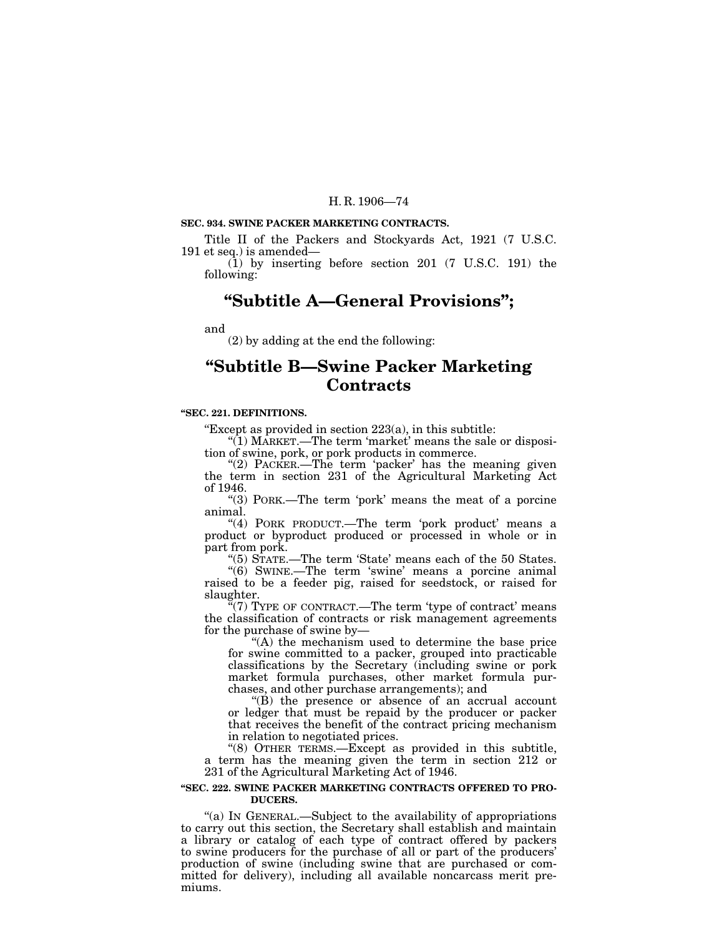# **SEC. 934. SWINE PACKER MARKETING CONTRACTS.**

Title II of the Packers and Stockyards Act, 1921 (7 U.S.C. 191 et seq.) is amended—

(1) by inserting before section 201 (7 U.S.C. 191) the following:

# **''Subtitle A—General Provisions'';**

and

(2) by adding at the end the following:

# **''Subtitle B—Swine Packer Marketing Contracts**

## **''SEC. 221. DEFINITIONS.**

''Except as provided in section 223(a), in this subtitle:

"(1) MARKET.—The term 'market' means the sale or disposition of swine, pork, or pork products in commerce.

"(2) PACKER.—The term 'packer' has the meaning given the term in section 231 of the Agricultural Marketing Act of 1946.

"(3) PORK.—The term 'pork' means the meat of a porcine animal.

"(4) PORK PRODUCT.—The term 'pork product' means a product or byproduct produced or processed in whole or in part from pork.

"(5) STATE.—The term 'State' means each of the 50 States.

 $'(6)$  SWINE.—The term 'swine' means a porcine animal raised to be a feeder pig, raised for seedstock, or raised for slaughter.

 $f(7)$  TYPE OF CONTRACT.—The term 'type of contract' means the classification of contracts or risk management agreements for the purchase of swine by—

''(A) the mechanism used to determine the base price for swine committed to a packer, grouped into practicable classifications by the Secretary (including swine or pork market formula purchases, other market formula purchases, and other purchase arrangements); and

''(B) the presence or absence of an accrual account or ledger that must be repaid by the producer or packer that receives the benefit of the contract pricing mechanism in relation to negotiated prices.

"(8) OTHER TERMS.—Except as provided in this subtitle, a term has the meaning given the term in section 212 or 231 of the Agricultural Marketing Act of 1946.

#### **''SEC. 222. SWINE PACKER MARKETING CONTRACTS OFFERED TO PRO-DUCERS.**

"(a) IN GENERAL.—Subject to the availability of appropriations to carry out this section, the Secretary shall establish and maintain a library or catalog of each type of contract offered by packers to swine producers for the purchase of all or part of the producers' production of swine (including swine that are purchased or committed for delivery), including all available noncarcass merit premiums.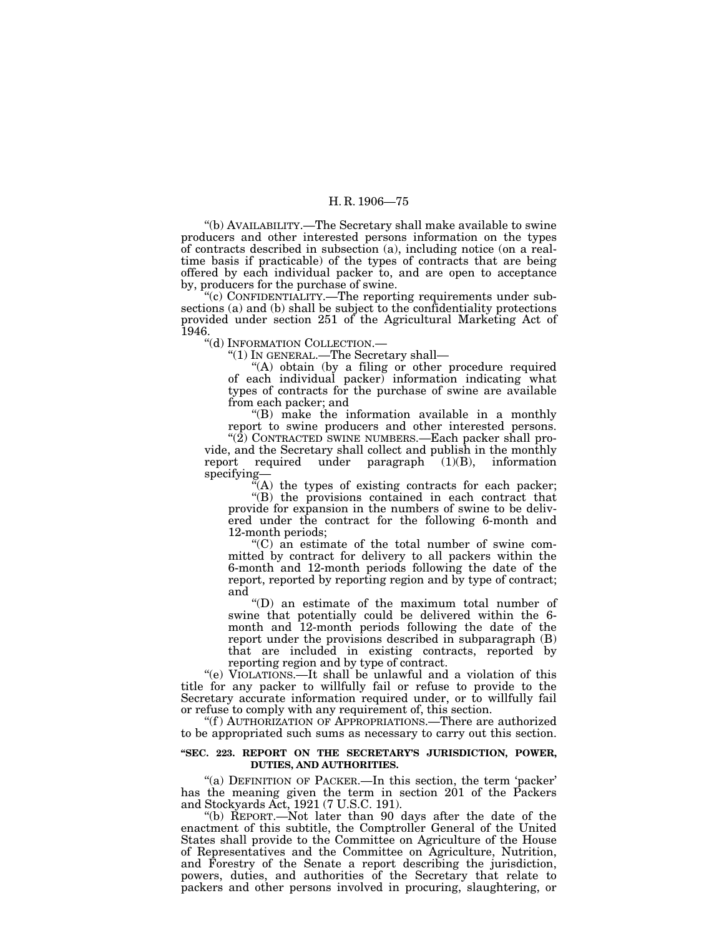''(b) AVAILABILITY.—The Secretary shall make available to swine producers and other interested persons information on the types of contracts described in subsection (a), including notice (on a realtime basis if practicable) of the types of contracts that are being offered by each individual packer to, and are open to acceptance by, producers for the purchase of swine.

''(c) CONFIDENTIALITY.—The reporting requirements under subsections (a) and (b) shall be subject to the confidentiality protections provided under section 251 of the Agricultural Marketing Act of 1946.

''(d) INFORMATION COLLECTION.—

''(1) IN GENERAL.—The Secretary shall—

"(A) obtain (by a filing or other procedure required of each individual packer) information indicating what types of contracts for the purchase of swine are available from each packer; and

''(B) make the information available in a monthly report to swine producers and other interested persons.

"(2) CONTRACTED SWINE NUMBERS.—Each packer shall provide, and the Secretary shall collect and publish in the monthly report required under paragraph (1)(B), information specifying—

 $\tilde{f}(A)$  the types of existing contracts for each packer;

''(B) the provisions contained in each contract that provide for expansion in the numbers of swine to be delivered under the contract for the following 6-month and 12-month periods;

''(C) an estimate of the total number of swine committed by contract for delivery to all packers within the 6-month and 12-month periods following the date of the report, reported by reporting region and by type of contract; and

''(D) an estimate of the maximum total number of swine that potentially could be delivered within the 6 month and 12-month periods following the date of the report under the provisions described in subparagraph (B) that are included in existing contracts, reported by reporting region and by type of contract.

''(e) VIOLATIONS.—It shall be unlawful and a violation of this title for any packer to willfully fail or refuse to provide to the Secretary accurate information required under, or to willfully fail or refuse to comply with any requirement of, this section.

"(f) AUTHORIZATION OF APPROPRIATIONS.—There are authorized to be appropriated such sums as necessary to carry out this section.

### **''SEC. 223. REPORT ON THE SECRETARY'S JURISDICTION, POWER, DUTIES, AND AUTHORITIES.**

"(a) DEFINITION OF PACKER.—In this section, the term 'packer' has the meaning given the term in section 201 of the Packers and Stockyards Act, 1921 (7 U.S.C. 191).

''(b) REPORT.—Not later than 90 days after the date of the enactment of this subtitle, the Comptroller General of the United States shall provide to the Committee on Agriculture of the House of Representatives and the Committee on Agriculture, Nutrition, and Forestry of the Senate a report describing the jurisdiction, powers, duties, and authorities of the Secretary that relate to packers and other persons involved in procuring, slaughtering, or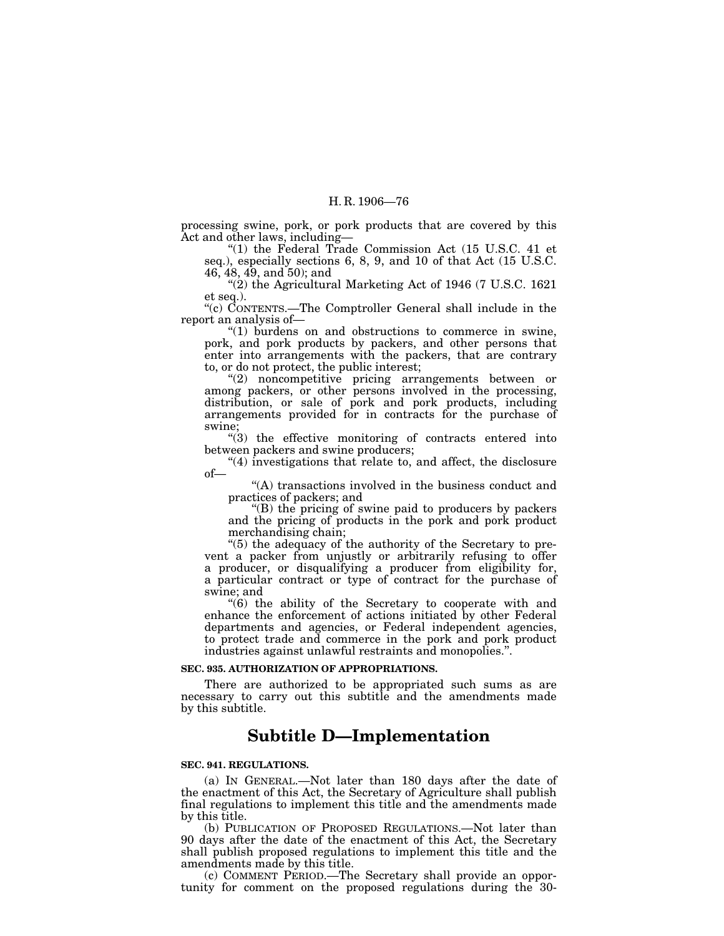processing swine, pork, or pork products that are covered by this Act and other laws, including—

''(1) the Federal Trade Commission Act (15 U.S.C. 41 et seq.), especially sections 6, 8, 9, and 10 of that Act (15 U.S.C.  $46, 48, 49, \text{ and } 50$ ; and

''(2) the Agricultural Marketing Act of 1946 (7 U.S.C. 1621 et seq.).

''(c) CONTENTS.—The Comptroller General shall include in the report an analysis of—

''(1) burdens on and obstructions to commerce in swine, pork, and pork products by packers, and other persons that enter into arrangements with the packers, that are contrary to, or do not protect, the public interest;

''(2) noncompetitive pricing arrangements between or among packers, or other persons involved in the processing, distribution, or sale of pork and pork products, including arrangements provided for in contracts for the purchase of swine;

''(3) the effective monitoring of contracts entered into between packers and swine producers;

" $(4)$  investigations that relate to, and affect, the disclosure of—

"(A) transactions involved in the business conduct and practices of packers; and

''(B) the pricing of swine paid to producers by packers and the pricing of products in the pork and pork product merchandising chain;

"(5) the adequacy of the authority of the Secretary to prevent a packer from unjustly or arbitrarily refusing to offer a producer, or disqualifying a producer from eligibility for, a particular contract or type of contract for the purchase of swine; and

 $\degree$ (6) the ability of the Secretary to cooperate with and enhance the enforcement of actions initiated by other Federal departments and agencies, or Federal independent agencies, to protect trade and commerce in the pork and pork product industries against unlawful restraints and monopolies.''.

#### **SEC. 935. AUTHORIZATION OF APPROPRIATIONS.**

There are authorized to be appropriated such sums as are necessary to carry out this subtitle and the amendments made by this subtitle.

# **Subtitle D—Implementation**

#### **SEC. 941. REGULATIONS.**

(a) IN GENERAL.—Not later than 180 days after the date of the enactment of this Act, the Secretary of Agriculture shall publish final regulations to implement this title and the amendments made by this title.

(b) PUBLICATION OF PROPOSED REGULATIONS.—Not later than 90 days after the date of the enactment of this Act, the Secretary shall publish proposed regulations to implement this title and the amendments made by this title.

(c) COMMENT PERIOD.—The Secretary shall provide an opportunity for comment on the proposed regulations during the 30-